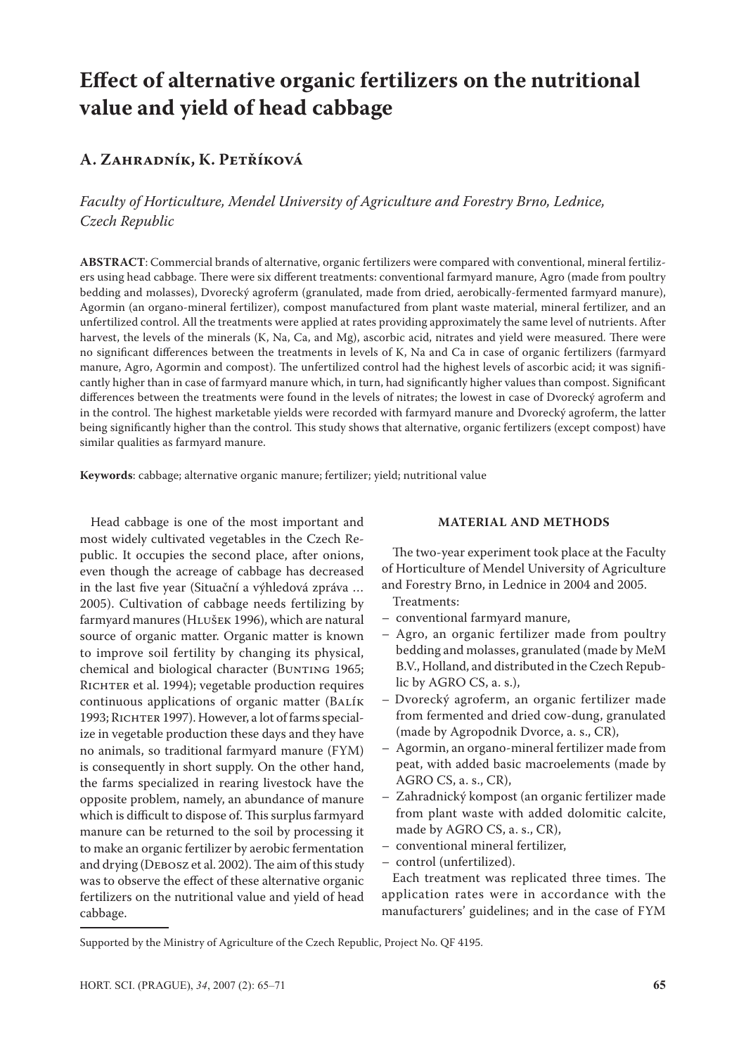# **Effect of alternative organic fertilizers on the nutritional value and yield of head cabbage**

# **A. Zahradník, K. Petříková**

*Faculty of Horticulture, Mendel University of Agriculture and Forestry Brno, Lednice, Czech Republic*

**ABSTRACT**: Commercial brands of alternative, organic fertilizers were compared with conventional, mineral fertilizers using head cabbage. There were six different treatments: conventional farmyard manure, Agro (made from poultry bedding and molasses), Dvorecký agroferm (granulated, made from dried, aerobically-fermented farmyard manure), Agormin (an organo-mineral fertilizer), compost manufactured from plant waste material, mineral fertilizer, and an unfertilized control. All the treatments were applied at rates providing approximately the same level of nutrients. After harvest, the levels of the minerals (K, Na, Ca, and Mg), ascorbic acid, nitrates and yield were measured. There were no significant differences between the treatments in levels of K, Na and Ca in case of organic fertilizers (farmyard manure, Agro, Agormin and compost). The unfertilized control had the highest levels of ascorbic acid; it was significantly higher than in case of farmyard manure which, in turn, had significantly higher values than compost. Significant differences between the treatments were found in the levels of nitrates; the lowest in case of Dvorecký agroferm and in the control. The highest marketable yields were recorded with farmyard manure and Dvorecký agroferm, the latter being significantly higher than the control. This study shows that alternative, organic fertilizers (except compost) have similar qualities as farmyard manure.

**Keywords**: cabbage; alternative organic manure; fertilizer; yield; nutritional value

Head cabbage is one of the most important and most widely cultivated vegetables in the Czech Republic. It occupies the second place, after onions, even though the acreage of cabbage has decreased in the last five year (Situační a výhledová zpráva … 2005). Cultivation of cabbage needs fertilizing by farmyard manures (HLUŠEK 1996), which are natural source of organic matter. Organic matter is known to improve soil fertility by changing its physical, chemical and biological character (BUNTING 1965; RICHTER et al. 1994); vegetable production requires continuous applications of organic matter (BALÍK 1993; RICHTER 1997). However, a lot of farms specialize in vegetable production these days and they have no animals, so traditional farmyard manure (FYM) is consequently in short supply. On the other hand, the farms specialized in rearing livestock have the opposite problem, namely, an abundance of manure which is difficult to dispose of. This surplus farmyard manure can be returned to the soil by processing it to make an organic fertilizer by aerobic fermentation and drying (Debosz et al. 2002). The aim of this study was to observe the effect of these alternative organic fertilizers on the nutritional value and yield of head cabbage.

# **MATERIAL AND METHODS**

The two-year experiment took place at the Faculty of Horticulture of Mendel University of Agriculture and Forestry Brno, in Lednice in 2004 and 2005.

Treatments:

- conventional farmyard manure,
- Agro, an organic fertilizer made from poultry bedding and molasses, granulated (made by MeM B.V., Holland, and distributed in the Czech Republic by AGRO CS, a. s.),
- Dvorecký agroferm, an organic fertilizer made from fermented and dried cow-dung, granulated (made by Agropodnik Dvorce, a. s., CR),
- Agormin, an organo-mineral fertilizer made from peat, with added basic macroelements (made by AGRO CS, a. s., CR),
- Zahradnický kompost (an organic fertilizer made from plant waste with added dolomitic calcite, made by AGRO CS, a. s., CR),
- conventional mineral fertilizer,
- control (unfertilized).

Each treatment was replicated three times. The application rates were in accordance with the manufacturers' guidelines; and in the case of FYM

Supported by the Ministry of Agriculture of the Czech Republic, Project No. QF 4195.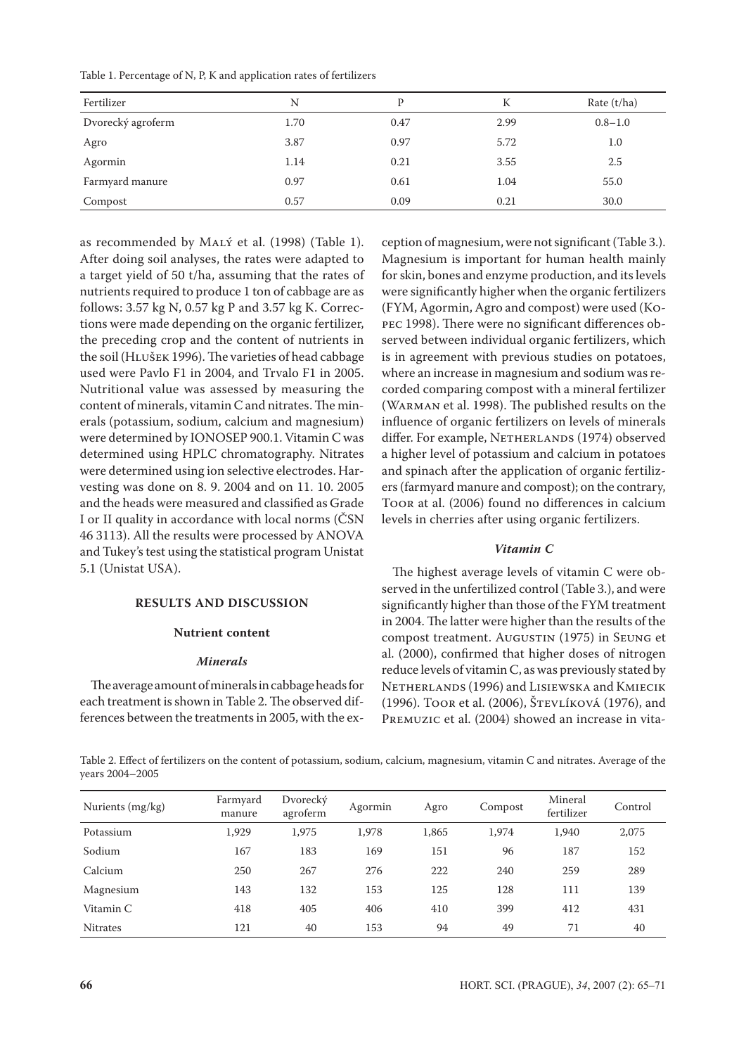| Fertilizer        | N    | P    | К    | Rate $(t/ha)$ |
|-------------------|------|------|------|---------------|
| Dvorecký agroferm | 1.70 | 0.47 | 2.99 | $0.8 - 1.0$   |
| Agro              | 3.87 | 0.97 | 5.72 | 1.0           |
| Agormin           | 1.14 | 0.21 | 3.55 | 2.5           |
| Farmyard manure   | 0.97 | 0.61 | 1.04 | 55.0          |
| Compost           | 0.57 | 0.09 | 0.21 | 30.0          |

as recommended by MALÝ et al. (1998) (Table 1). After doing soil analyses, the rates were adapted to a target yield of 50 t/ha, assuming that the rates of nutrients required to produce 1 ton of cabbage are as follows: 3.57 kg N, 0.57 kg P and 3.57 kg K. Corrections were made depending on the organic fertilizer, the preceding crop and the content of nutrients in the soil (HLUŠEK 1996). The varieties of head cabbage used were Pavlo F1 in 2004, and Trvalo F1 in 2005. Nutritional value was assessed by measuring the content of minerals, vitamin C and nitrates. The minerals (potassium, sodium, calcium and magnesium) were determined by IONOSEP 900.1. Vitamin C was determined using HPLC chromatography. Nitrates were determined using ion selective electrodes. Harvesting was done on 8. 9. 2004 and on 11. 10. 2005 and the heads were measured and classified as Grade I or II quality in accordance with local norms (ČSN 46 3113). All the results were processed by ANOVA and Tukey's test using the statistical program Unistat 5.1 (Unistat USA).

### **RESULTS AND DISCUSSION**

#### **Nutrient content**

#### *Minerals*

The average amount of minerals in cabbage heads for each treatment is shown in Table 2. The observed differences between the treatments in 2005, with the ex-

ception of magnesium, were not significant (Table 3.). Magnesium is important for human health mainly for skin, bones and enzyme production, and its levels were significantly higher when the organic fertilizers (FYM, Agormin, Agro and compost) were used (Kopec 1998). There were no significant differences observed between individual organic fertilizers, which is in agreement with previous studies on potatoes, where an increase in magnesium and sodium was recorded comparing compost with a mineral fertilizer (Warman et al. 1998). The published results on the influence of organic fertilizers on levels of minerals differ. For example, NETHERLANDS (1974) observed a higher level of potassium and calcium in potatoes and spinach after the application of organic fertilizers (farmyard manure and compost); on the contrary, Toor at al. (2006) found no differences in calcium levels in cherries after using organic fertilizers.

## *Vitamin C*

The highest average levels of vitamin C were observed in the unfertilized control (Table 3.), and were significantly higher than those of the FYM treatment in 2004. The latter were higher than the results of the compost treatment. Augustin (1975) in Seung et al. (2000), confirmed that higher doses of nitrogen reduce levels of vitamin C, as was previously stated by Netherlands (1996) and Lisiewska and Kmiecik (1996). Toor et al. (2006), Števlíková (1976), and Premuzic et al. (2004) showed an increase in vita-

Table 2. Effect of fertilizers on the content of potassium, sodium, calcium, magnesium, vitamin C and nitrates. Average of the years 2004–2005

| Nurients (mg/kg) | Farmyard<br>manure | Dvorecký<br>agroferm | Agormin | Agro  | Compost | Mineral<br>fertilizer | Control |
|------------------|--------------------|----------------------|---------|-------|---------|-----------------------|---------|
| Potassium        | 1,929              | 1,975                | 1,978   | 1,865 | 1,974   | 1,940                 | 2,075   |
| Sodium           | 167                | 183                  | 169     | 151   | 96      | 187                   | 152     |
| Calcium          | 250                | 267                  | 276     | 222   | 240     | 259                   | 289     |
| Magnesium        | 143                | 132                  | 153     | 125   | 128     | 111                   | 139     |
| Vitamin C        | 418                | 405                  | 406     | 410   | 399     | 412                   | 431     |
| <b>Nitrates</b>  | 121                | 40                   | 153     | 94    | 49      | 71                    | 40      |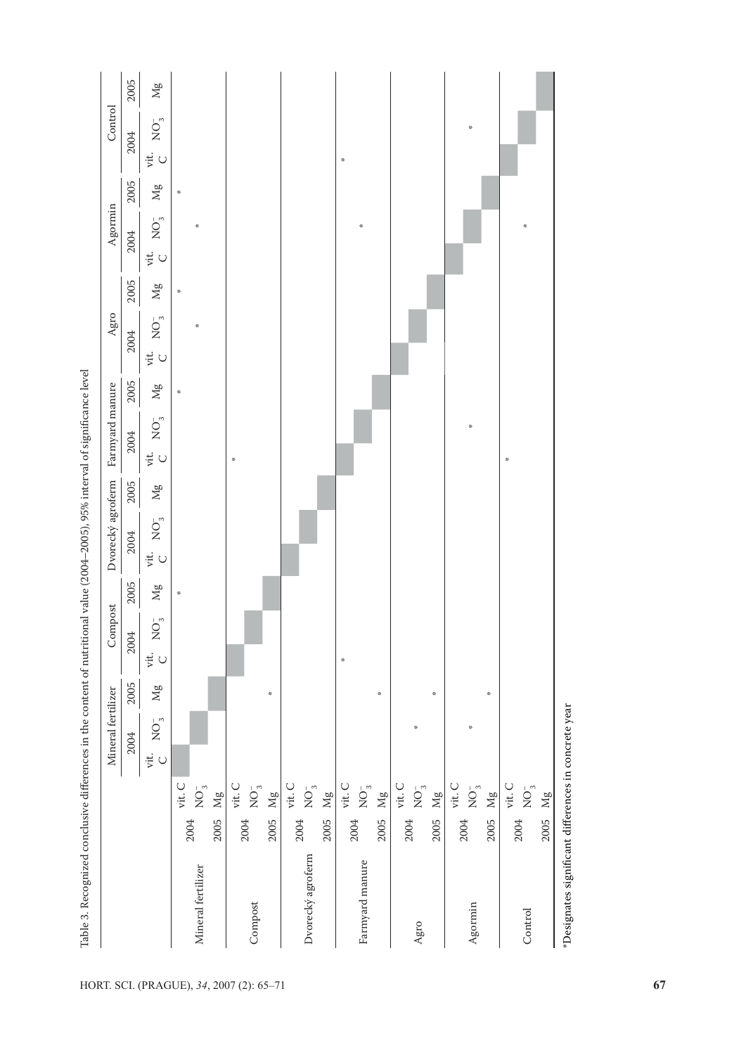| $\rm Mg$<br>$\frac{\partial \mathcal{L}}{\partial \mathbf{r}^2}$<br>$\mathrm{NO}_{_{\mathrm{3}}}^{-}$<br>÷<br>$\mathcal{R}$<br>2004<br>$\ddot{\varepsilon}$ C<br>2005<br>$\rm Mg$<br>$\mathcal{R}$<br>$\mathrm{NO}^{-}_{3}$<br>$\mathcal{R}$<br>2004<br>$\ddot{\rm g}$ C<br>2005<br>$\rm Mg$<br>÷<br>$\mathrm{NO}^{-}_{3}$<br>2004<br>$\ddot{\varphi}$ C<br>$\mathcal{R}$<br>2005<br>$\rm Mg$<br>$\mathrm{NO}^{-}_{_{3}}$<br>2004<br>$\ddot{\varepsilon}$ C<br>2005<br>$\rm Mg$<br>$\mathcal{R}$<br>$\mathrm{NO}_{_{\mathrm{3}}}^{-}$<br>2004<br>$\ddot{\varepsilon}$ o<br>$\mathcal{R}$<br>2005<br>$\rm Mg$<br>$\mathcal{R}$<br>$\frac{3\pi}{2\pi}$<br>$\mathcal{R}$<br>$\mathrm{NO}^{-}_3$<br>$\frac{3\pi}{2\pi}$<br>2004<br>vit.<br>$\bigcup$<br>vit. ${\cal C}$<br>vit. C<br>vit. C<br>$\mathop{\rm vit}\nolimits$ C<br>vit. C<br>$\mathrm{NO}^{-}_{_3}$<br>$\mathrm{NO}^{-}_{_3}$<br>$\mathrm{NO}^{-}_{_3}$<br>$\mathrm{NO}^{-}_3$<br>$\mathrm{NO}^{-}_{_3}$<br>$_{\rm Mg}$<br>$\rm Mg$<br>$\rm Mg$<br>$\rm Mg$<br>2005<br>2004<br>2005<br>2004<br>2005<br>2004<br>2005<br>2004<br>2004<br>2005<br>Dvorecký agroferm<br>Farmyard manure<br>Mineral fertilizer<br>Compost<br>Agro |  |          | Mineral fertilizer | Compost |  |  | Agro | Agormin |      | Control                                         |          |
|---------------------------------------------------------------------------------------------------------------------------------------------------------------------------------------------------------------------------------------------------------------------------------------------------------------------------------------------------------------------------------------------------------------------------------------------------------------------------------------------------------------------------------------------------------------------------------------------------------------------------------------------------------------------------------------------------------------------------------------------------------------------------------------------------------------------------------------------------------------------------------------------------------------------------------------------------------------------------------------------------------------------------------------------------------------------------------------------------------------------------------------------------------------------------------------|--|----------|--------------------|---------|--|--|------|---------|------|-------------------------------------------------|----------|
|                                                                                                                                                                                                                                                                                                                                                                                                                                                                                                                                                                                                                                                                                                                                                                                                                                                                                                                                                                                                                                                                                                                                                                                       |  |          |                    |         |  |  |      |         | 2005 | 2004                                            | 2005     |
|                                                                                                                                                                                                                                                                                                                                                                                                                                                                                                                                                                                                                                                                                                                                                                                                                                                                                                                                                                                                                                                                                                                                                                                       |  |          |                    |         |  |  |      |         |      | $\mathrm{NO}_{3}^{-}$<br>$\ddot{\varepsilon}$ C | $\rm Mg$ |
|                                                                                                                                                                                                                                                                                                                                                                                                                                                                                                                                                                                                                                                                                                                                                                                                                                                                                                                                                                                                                                                                                                                                                                                       |  |          |                    |         |  |  |      |         |      |                                                 |          |
|                                                                                                                                                                                                                                                                                                                                                                                                                                                                                                                                                                                                                                                                                                                                                                                                                                                                                                                                                                                                                                                                                                                                                                                       |  |          |                    |         |  |  |      |         |      |                                                 |          |
|                                                                                                                                                                                                                                                                                                                                                                                                                                                                                                                                                                                                                                                                                                                                                                                                                                                                                                                                                                                                                                                                                                                                                                                       |  |          |                    |         |  |  |      |         |      |                                                 |          |
|                                                                                                                                                                                                                                                                                                                                                                                                                                                                                                                                                                                                                                                                                                                                                                                                                                                                                                                                                                                                                                                                                                                                                                                       |  |          |                    |         |  |  |      |         |      |                                                 |          |
|                                                                                                                                                                                                                                                                                                                                                                                                                                                                                                                                                                                                                                                                                                                                                                                                                                                                                                                                                                                                                                                                                                                                                                                       |  |          |                    |         |  |  |      |         |      |                                                 |          |
|                                                                                                                                                                                                                                                                                                                                                                                                                                                                                                                                                                                                                                                                                                                                                                                                                                                                                                                                                                                                                                                                                                                                                                                       |  |          |                    |         |  |  |      |         |      |                                                 |          |
|                                                                                                                                                                                                                                                                                                                                                                                                                                                                                                                                                                                                                                                                                                                                                                                                                                                                                                                                                                                                                                                                                                                                                                                       |  |          |                    |         |  |  |      |         |      |                                                 |          |
|                                                                                                                                                                                                                                                                                                                                                                                                                                                                                                                                                                                                                                                                                                                                                                                                                                                                                                                                                                                                                                                                                                                                                                                       |  |          |                    |         |  |  |      |         |      |                                                 |          |
|                                                                                                                                                                                                                                                                                                                                                                                                                                                                                                                                                                                                                                                                                                                                                                                                                                                                                                                                                                                                                                                                                                                                                                                       |  |          |                    |         |  |  |      |         |      |                                                 |          |
|                                                                                                                                                                                                                                                                                                                                                                                                                                                                                                                                                                                                                                                                                                                                                                                                                                                                                                                                                                                                                                                                                                                                                                                       |  |          |                    |         |  |  |      |         |      | $\mathcal{S}$                                   |          |
|                                                                                                                                                                                                                                                                                                                                                                                                                                                                                                                                                                                                                                                                                                                                                                                                                                                                                                                                                                                                                                                                                                                                                                                       |  |          |                    |         |  |  |      |         |      |                                                 |          |
|                                                                                                                                                                                                                                                                                                                                                                                                                                                                                                                                                                                                                                                                                                                                                                                                                                                                                                                                                                                                                                                                                                                                                                                       |  |          |                    |         |  |  |      |         |      |                                                 |          |
|                                                                                                                                                                                                                                                                                                                                                                                                                                                                                                                                                                                                                                                                                                                                                                                                                                                                                                                                                                                                                                                                                                                                                                                       |  |          |                    |         |  |  |      |         |      |                                                 |          |
|                                                                                                                                                                                                                                                                                                                                                                                                                                                                                                                                                                                                                                                                                                                                                                                                                                                                                                                                                                                                                                                                                                                                                                                       |  |          |                    |         |  |  |      |         |      |                                                 |          |
|                                                                                                                                                                                                                                                                                                                                                                                                                                                                                                                                                                                                                                                                                                                                                                                                                                                                                                                                                                                                                                                                                                                                                                                       |  | $\rm Mg$ |                    |         |  |  |      |         |      |                                                 |          |
| vit. C<br>2004                                                                                                                                                                                                                                                                                                                                                                                                                                                                                                                                                                                                                                                                                                                                                                                                                                                                                                                                                                                                                                                                                                                                                                        |  |          |                    |         |  |  |      |         |      |                                                 |          |
| $\mathcal{R}$<br>$\mathcal{R}$<br>$\mathrm{NO}^{-}_{3}$<br>Agormin                                                                                                                                                                                                                                                                                                                                                                                                                                                                                                                                                                                                                                                                                                                                                                                                                                                                                                                                                                                                                                                                                                                    |  |          |                    |         |  |  |      |         |      | $\mathcal{R}$                                   |          |
| $\frac{\partial \mathcal{L}}{\partial \mathcal{L}}$<br>Mg<br>2005                                                                                                                                                                                                                                                                                                                                                                                                                                                                                                                                                                                                                                                                                                                                                                                                                                                                                                                                                                                                                                                                                                                     |  |          |                    |         |  |  |      |         |      |                                                 |          |
| $\mathcal{S}$<br>vit. C<br>2004                                                                                                                                                                                                                                                                                                                                                                                                                                                                                                                                                                                                                                                                                                                                                                                                                                                                                                                                                                                                                                                                                                                                                       |  |          |                    |         |  |  |      |         |      |                                                 |          |
| $\mathcal{R}$<br>$\mathrm{NO}^{-}_{_3}$<br>Control                                                                                                                                                                                                                                                                                                                                                                                                                                                                                                                                                                                                                                                                                                                                                                                                                                                                                                                                                                                                                                                                                                                                    |  |          |                    |         |  |  |      |         |      |                                                 |          |
| $\rm Mg$<br>2005                                                                                                                                                                                                                                                                                                                                                                                                                                                                                                                                                                                                                                                                                                                                                                                                                                                                                                                                                                                                                                                                                                                                                                      |  |          |                    |         |  |  |      |         |      |                                                 |          |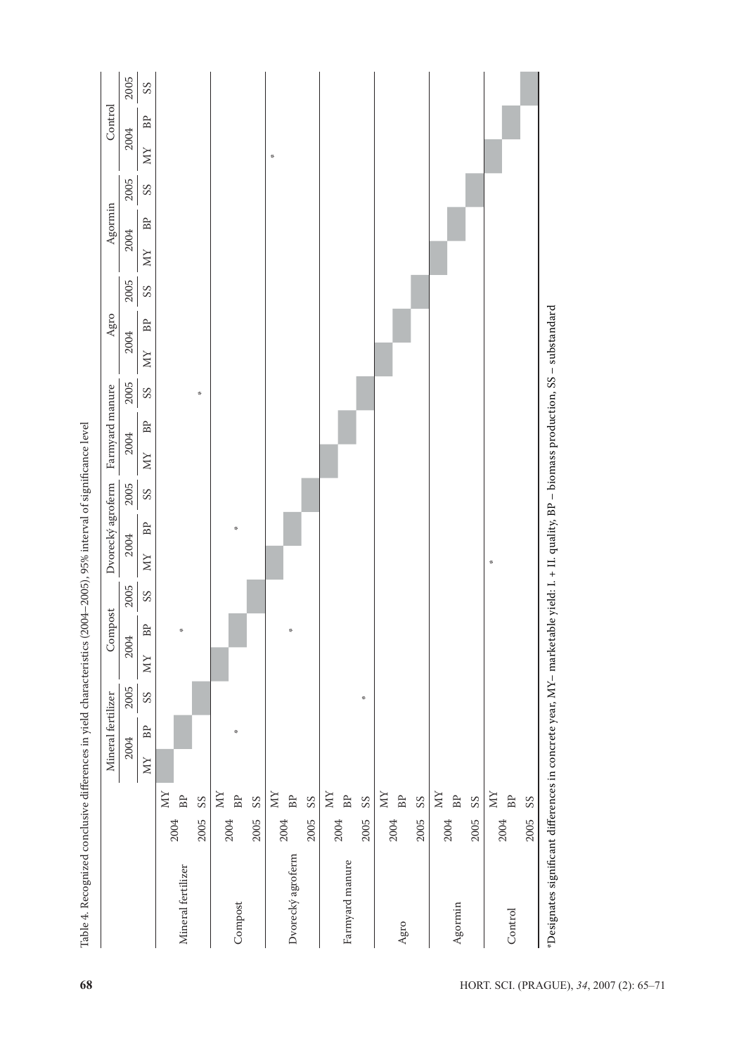|                    |                                  |     | Mineral fertilizer   |                          |                   | Compost              |                          |                            | Dvorecký agroferm   |                          |           | Farmyard manure |                          | ${\rm Age}$                       |                          |                   | Agormin              |                          | Control            |                            |
|--------------------|----------------------------------|-----|----------------------|--------------------------|-------------------|----------------------|--------------------------|----------------------------|---------------------|--------------------------|-----------|-----------------|--------------------------|-----------------------------------|--------------------------|-------------------|----------------------|--------------------------|--------------------|----------------------------|
|                    |                                  |     | 2004                 | 2005                     |                   | 2004                 | 2005                     | 2004                       |                     | 2005                     | 2004      |                 | 2005                     | 2004                              | 2005                     | 2004              |                      | 2005                     | 2004               | 2005                       |
|                    |                                  | XIX | $\mathbb B\mathbb P$ | $\mathcal{S}\mathcal{S}$ | $\mathop{\rm NN}$ | $\mathsf B\mathsf P$ | $\mathcal{S}\mathcal{S}$ | $\mathop{\rm MV}\nolimits$ | $_{\rm BP}$         | $\mathcal{S}\mathcal{S}$ | $\rm{NN}$ | $_{\rm BP}$     | $\mathcal{S}\mathcal{S}$ | $\mathbb B\mathbb P$<br>$\rm{NN}$ | $\mathcal{S}\mathcal{S}$ | $\mathop{\rm NN}$ | $\mathbb B\mathbb P$ | $\mathcal{S}\mathcal{S}$ | $_{\rm BP}$<br>XIX | $\mathop{\rm SS}\nolimits$ |
| Mineral fertilizer | XIX<br>BP<br>2004                |     |                      |                          |                   | 柴                    |                          |                            |                     |                          |           |                 |                          |                                   |                          |                   |                      |                          |                    |                            |
|                    | ${\rm S}S$<br>2005               |     |                      |                          |                   |                      |                          |                            |                     |                          |           |                 | $\frac{3\pi}{2\pi}$      |                                   |                          |                   |                      |                          |                    |                            |
|                    | XIX<br>2004                      |     |                      |                          |                   |                      |                          |                            |                     |                          |           |                 |                          |                                   |                          |                   |                      |                          |                    |                            |
| Compost            | BP                               |     | $\frac{3\pi}{2\pi}$  |                          |                   |                      |                          |                            | $\frac{3\pi}{2\pi}$ |                          |           |                 |                          |                                   |                          |                   |                      |                          |                    |                            |
|                    | $\mathcal{S}\mathcal{S}$<br>2005 |     |                      |                          |                   |                      |                          |                            |                     |                          |           |                 |                          |                                   |                          |                   |                      |                          |                    |                            |
|                    | XIX<br>2004                      |     |                      |                          |                   |                      |                          |                            |                     |                          |           |                 |                          |                                   |                          |                   |                      |                          | $\mathcal{R}$      |                            |
| Dvorecký agroferm  | BP                               |     |                      |                          |                   | ÷                    |                          |                            |                     |                          |           |                 |                          |                                   |                          |                   |                      |                          |                    |                            |
|                    | SS<br>2005                       |     |                      |                          |                   |                      |                          |                            |                     |                          |           |                 |                          |                                   |                          |                   |                      |                          |                    |                            |
|                    | XIX<br>2004                      |     |                      |                          |                   |                      |                          |                            |                     |                          |           |                 |                          |                                   |                          |                   |                      |                          |                    |                            |
| Farmyard manure    | BP                               |     |                      |                          |                   |                      |                          |                            |                     |                          |           |                 |                          |                                   |                          |                   |                      |                          |                    |                            |
|                    | SS<br>2005                       |     |                      | $\frac{36}{36}$          |                   |                      |                          |                            |                     |                          |           |                 |                          |                                   |                          |                   |                      |                          |                    |                            |
|                    | XIX                              |     |                      |                          |                   |                      |                          |                            |                     |                          |           |                 |                          |                                   |                          |                   |                      |                          |                    |                            |
| $_{\rm Agro}$      | BP<br>2004                       |     |                      |                          |                   |                      |                          |                            |                     |                          |           |                 |                          |                                   |                          |                   |                      |                          |                    |                            |
|                    | $\mathcal{S}\mathcal{S}$<br>2005 |     |                      |                          |                   |                      |                          |                            |                     |                          |           |                 |                          |                                   |                          |                   |                      |                          |                    |                            |
|                    | XIX<br>2004                      |     |                      |                          |                   |                      |                          |                            |                     |                          |           |                 |                          |                                   |                          |                   |                      |                          |                    |                            |
| Agormin            | $\mathbf{B}\mathbf{P}$           |     |                      |                          |                   |                      |                          |                            |                     |                          |           |                 |                          |                                   |                          |                   |                      |                          |                    |                            |
|                    | SS<br>2005                       |     |                      |                          |                   |                      |                          |                            |                     |                          |           |                 |                          |                                   |                          |                   |                      |                          |                    |                            |
|                    | XIX<br>2004                      |     |                      |                          |                   |                      |                          | $\mathcal{R}$              |                     |                          |           |                 |                          |                                   |                          |                   |                      |                          |                    |                            |
| Control            | $\mathbf{B}\mathbf{P}$           |     |                      |                          |                   |                      |                          |                            |                     |                          |           |                 |                          |                                   |                          |                   |                      |                          |                    |                            |
|                    | $\mathcal{S}\mathcal{S}$<br>2005 |     |                      |                          |                   |                      |                          |                            |                     |                          |           |                 |                          |                                   |                          |                   |                      |                          |                    |                            |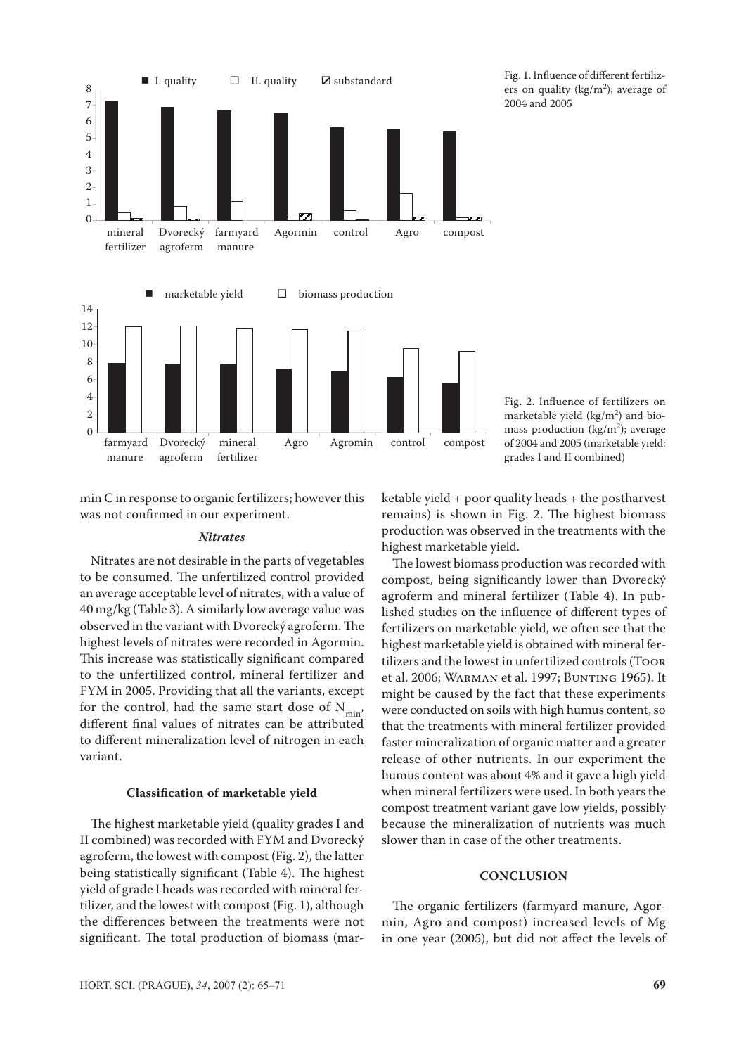

Fig. 1. Influence of different fertilizers on quality ( $\text{kg/m}^2$ ); average of 2004 and 2005

min C in response to organic fertilizers; however this was not confirmed in our experiment.

#### *Nitrates*

Nitrates are not desirable in the parts of vegetables to be consumed. The unfertilized control provided an average acceptable level of nitrates, with a value of 40 mg/kg (Table 3). A similarly low average value was observed in the variant with Dvorecký agroferm. The highest levels of nitrates were recorded in Agormin. This increase was statistically significant compared to the unfertilized control, mineral fertilizer and FYM in 2005. Providing that all the variants, except for the control, had the same start dose of  $N_{min}$ , different final values of nitrates can be attributed to different mineralization level of nitrogen in each variant.

## **Classification of marketable yield**

The highest marketable yield (quality grades I and II combined) was recorded with FYM and Dvorecký agroferm, the lowest with compost (Fig. 2), the latter being statistically significant (Table 4). The highest yield of grade I heads was recorded with mineral fertilizer, and the lowest with compost (Fig. 1), although the differences between the treatments were not significant. The total production of biomass (marFig. 2. Influence of fertilizers on marketable yield  $(kg/m<sup>2</sup>)$  and biomass production ( $\text{kg/m}^2$ ); average of 2004 and 2005 (marketable yield: grades I and II combined)

ketable yield + poor quality heads + the postharvest remains) is shown in Fig. 2. The highest biomass production was observed in the treatments with the highest marketable yield.

The lowest biomass production was recorded with compost, being significantly lower than Dvorecký agroferm and mineral fertilizer (Table 4). In published studies on the influence of different types of fertilizers on marketable yield, we often see that the highest marketable yield is obtained with mineral fertilizers and the lowest in unfertilized controls (Toor et al. 2006; Warman et al. 1997; Bunting 1965). It might be caused by the fact that these experiments were conducted on soils with high humus content, so that the treatments with mineral fertilizer provided faster mineralization of organic matter and a greater release of other nutrients. In our experiment the humus content was about 4% and it gave a high yield when mineral fertilizers were used. In both years the compost treatment variant gave low yields, possibly because the mineralization of nutrients was much slower than in case of the other treatments.

# **CONCLUSION**

The organic fertilizers (farmyard manure, Agormin, Agro and compost) increased levels of Mg in one year (2005), but did not affect the levels of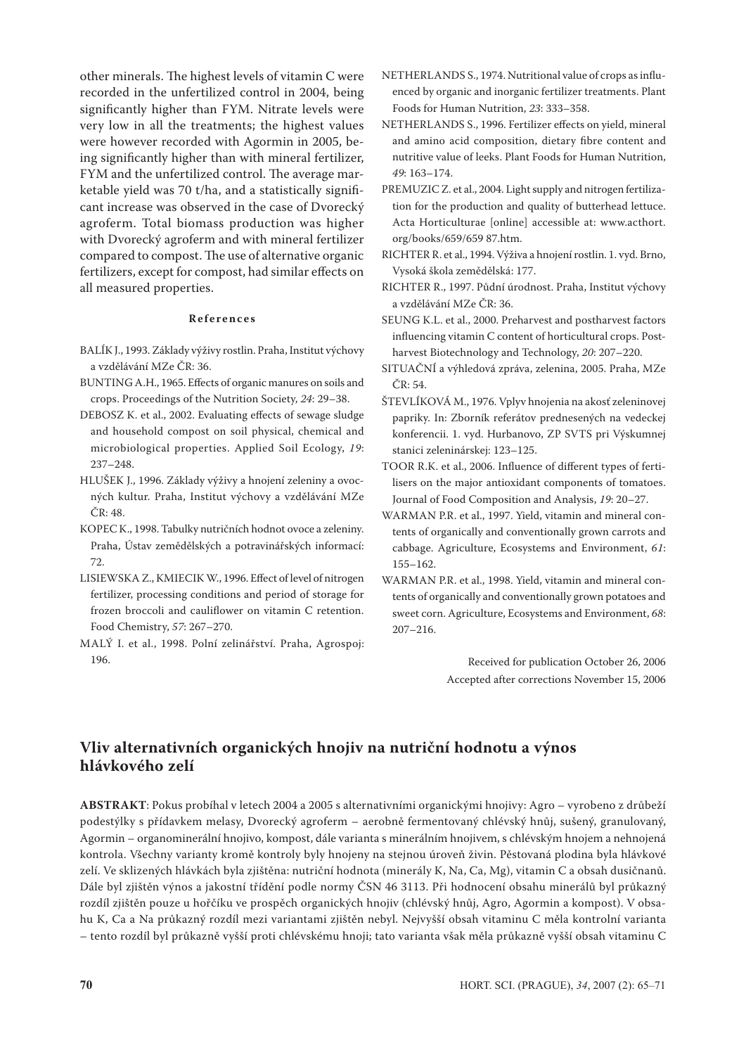other minerals. The highest levels of vitamin C were recorded in the unfertilized control in 2004, being significantly higher than FYM. Nitrate levels were very low in all the treatments; the highest values were however recorded with Agormin in 2005, being significantly higher than with mineral fertilizer, FYM and the unfertilized control. The average marketable yield was 70 t/ha, and a statistically significant increase was observed in the case of Dvorecký agroferm. Total biomass production was higher with Dvorecký agroferm and with mineral fertilizer compared to compost. The use of alternative organic fertilizers, except for compost, had similar effects on all measured properties.

### **R e f e r e n c e s**

- BALÍK J., 1993. Základy výživy rostlin. Praha, Institut výchovy a vzdělávání MZe ČR: 36.
- BUNTING A.H., 1965. Effects of organic manures on soils and crops. Proceedings of the Nutrition Society, *24*: 29–38.
- DEBOSZ K. et al., 2002. Evaluating effects of sewage sludge and household compost on soil physical, chemical and microbiological properties. Applied Soil Ecology, *19*: 237–248.
- Hlušek J., 1996. Základy výživy a hnojení zeleniny a ovocných kultur. Praha, Institut výchovy a vzdělávání MZe ČR: 48.
- Kopec K., 1998. Tabulky nutričních hodnot ovoce a zeleniny. Praha, Ústav zemědělských a potravinářských informací: 72.
- Lisiewska Z., Kmiecik W., 1996. Effect of level of nitrogen fertilizer, processing conditions and period of storage for frozen broccoli and cauliflower on vitamin C retention. Food Chemistry, *57*: 267–270.
- Malý I. et al., 1998. Polní zelinářství. Praha, Agrospoj: 196.
- NETHERLANDS S., 1974. Nutritional value of crops as influenced by organic and inorganic fertilizer treatments. Plant Foods for Human Nutrition, *23*: 333–358.
- NETHERLANDS S., 1996. Fertilizer effects on yield, mineral and amino acid composition, dietary fibre content and nutritive value of leeks. Plant Foods for Human Nutrition, *49*: 163–174.
- PREMUZIC Z. et al., 2004. Light supply and nitrogen fertilization for the production and quality of butterhead lettuce. Acta Horticulturae [online] accessible at: www.acthort. org/books/659/659 87.htm.
- RICHTER R. et al., 1994. Výživa a hnojení rostlin. 1. vyd. Brno, Vysoká škola zemědělská: 177.
- RICHTER R., 1997. Půdní úrodnost. Praha, Institut výchovy a vzdělávání MZe ČR: 36.
- SEUNG K.L. et al., 2000. Preharvest and postharvest factors influencing vitamin C content of horticultural crops. Postharvest Biotechnology and Technology, *20*: 207–220.
- SITUAČNÍ a výhledová zpráva, zelenina, 2005. Praha, MZe ČR: 54.
- ŠTEVLÍKOVÁ M., 1976. Vplyv hnojenia na akosť zeleninovej papriky. In: Zborník referátov prednesených na vedeckej konferencii. 1. vyd. Hurbanovo, ZP SVTS pri Výskumnej stanici zeleninárskej: 123–125.
- Toor R.K. et al., 2006. Influence of different types of fertilisers on the major antioxidant components of tomatoes. Journal of Food Composition and Analysis, *19*: 20–27.
- WARMAN P.R. et al., 1997. Yield, vitamin and mineral contents of organically and conventionally grown carrots and cabbage. Agriculture, Ecosystems and Environment, *61*: 155–162.
- WARMAN P.R. et al., 1998. Yield, vitamin and mineral contents of organically and conventionally grown potatoes and sweet corn. Agriculture, Ecosystems and Environment, *68*: 207–216.

Received for publication October 26, 2006 Accepted after corrections November 15, 2006

# **Vliv alternativních organických hnojiv na nutriční hodnotu a výnos hlávkového zelí**

**ABSTRAKT**: Pokus probíhal v letech 2004 a 2005 s alternativními organickými hnojivy: Agro – vyrobeno z drůbeží podestýlky s přídavkem melasy, Dvorecký agroferm – aerobně fermentovaný chlévský hnůj, sušený, granulovaný, Agormin – organominerální hnojivo, kompost, dále varianta s minerálním hnojivem, s chlévským hnojem a nehnojená kontrola. Všechny varianty kromě kontroly byly hnojeny na stejnou úroveň živin. Pěstovaná plodina byla hlávkové zelí. Ve sklizených hlávkách byla zjištěna: nutriční hodnota (minerály K, Na, Ca, Mg), vitamin C a obsah dusičnanů. Dále byl zjištěn výnos a jakostní třídění podle normy ČSN 46 3113. Při hodnocení obsahu minerálů byl průkazný rozdíl zjištěn pouze u hořčíku ve prospěch organických hnojiv (chlévský hnůj, Agro, Agormin a kompost). V obsahu K, Ca a Na průkazný rozdíl mezi variantami zjištěn nebyl. Nejvyšší obsah vitaminu C měla kontrolní varianta – tento rozdíl byl průkazně vyšší proti chlévskému hnoji; tato varianta však měla průkazně vyšší obsah vitaminu C